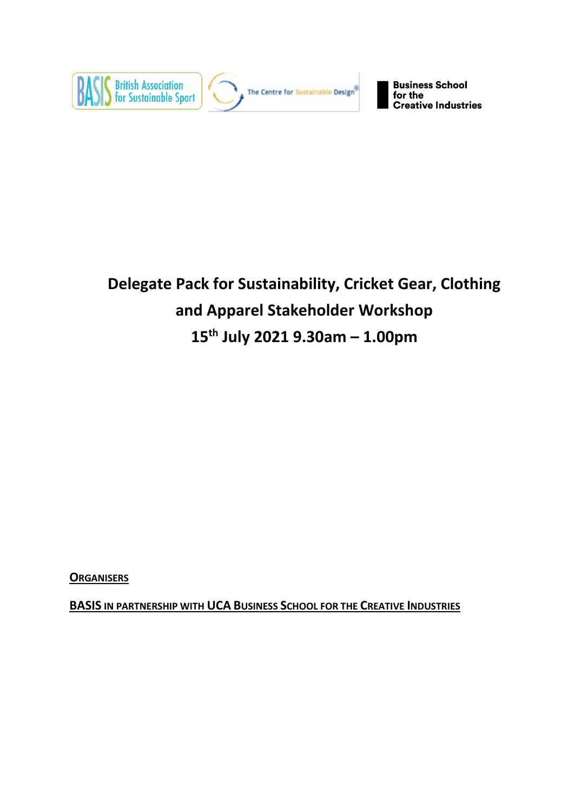

# **Delegate Pack for Sustainability, Cricket Gear, Clothing and Apparel Stakeholder Workshop 15th July 2021 9.30am – 1.00pm**

**ORGANISERS**

**BASIS IN PARTNERSHIP WITH UCA BUSINESS SCHOOL FOR THE CREATIVE INDUSTRIES**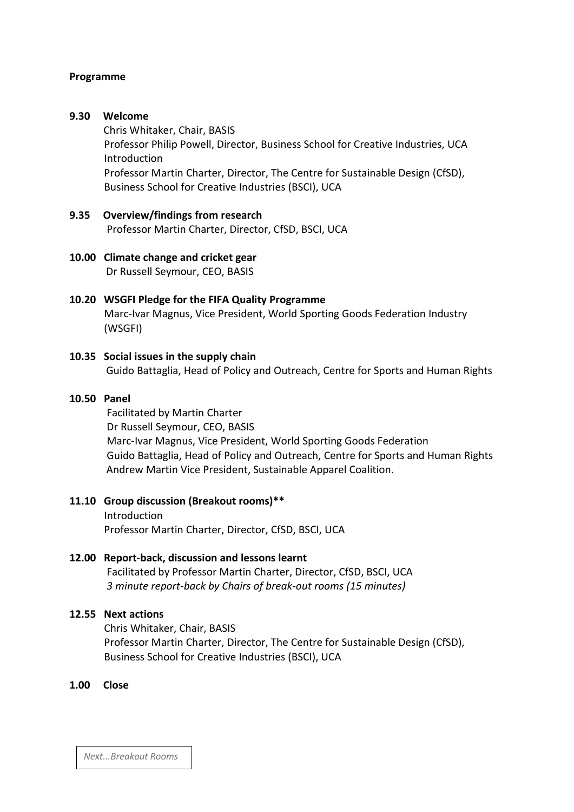# **Programme**

# **9.30 Welcome**

Chris Whitaker, Chair, BASIS Professor Philip Powell, Director, Business School for Creative Industries, UCA Introduction Professor Martin Charter, Director, The Centre for Sustainable Design (CfSD), Business School for Creative Industries (BSCI), UCA

**9.35 Overview/findings from research** Professor Martin Charter, Director, CfSD, BSCI, UCA

# **10.00 Climate change and cricket gear** Dr Russell Seymour, CEO, BASIS

# **10.20 WSGFI Pledge for the FIFA Quality Programme** Marc-Ivar Magnus, Vice President, World Sporting Goods Federation Industry (WSGFI)

# **10.35 Social issues in the supply chain**

Guido Battaglia, Head of Policy and Outreach, Centre for Sports and Human Rights

# **10.50 Panel**

Facilitated by Martin Charter Dr Russell Seymour, CEO, BASIS Marc-Ivar Magnus, Vice President, World Sporting Goods Federation Guido Battaglia, Head of Policy and Outreach, Centre for Sports and Human Rights Andrew Martin Vice President, Sustainable Apparel Coalition.

#### **11.10 Group discussion (Breakout rooms)\*\***

Introduction Professor Martin Charter, Director, CfSD, BSCI, UCA

# **12.00 Report-back, discussion and lessons learnt**

Facilitated by Professor Martin Charter, Director, CfSD, BSCI, UCA *3 minute report-back by Chairs of break-out rooms (15 minutes)*

# **12.55 Next actions**

Chris Whitaker, Chair, BASIS Professor Martin Charter, Director, The Centre for Sustainable Design (CfSD), Business School for Creative Industries (BSCI), UCA

#### **1.00 Close**

*Next...Breakout Rooms*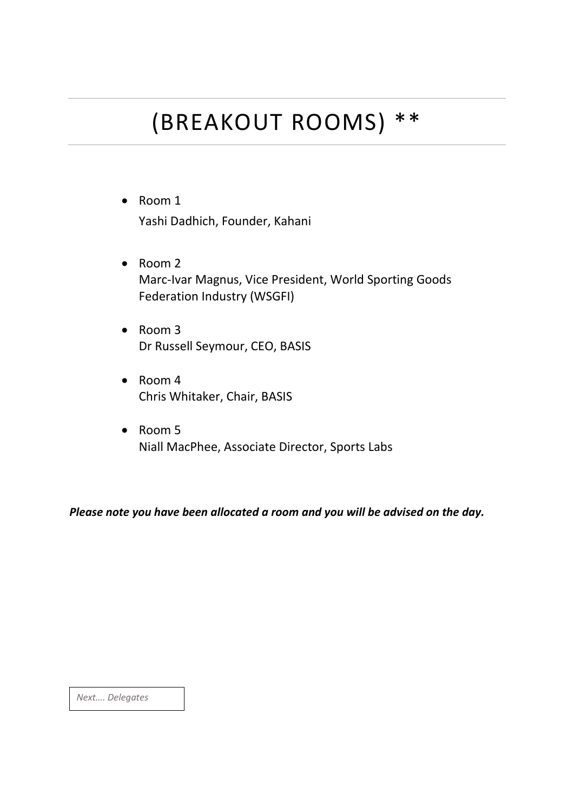# (BREAKOUT ROOMS) \*\*

- Room 1 Yashi Dadhich, Founder, Kahani
- Room 2 Marc-Ivar Magnus, Vice President, World Sporting Goods Federation Industry (WSGFI)
- Room 3 Dr Russell Seymour, CEO, BASIS
- Room 4 Chris Whitaker, Chair, BASIS
- Room 5 Niall MacPhee, Associate Director, Sports Labs

*Please note you have been allocated a room and you will be advised on the day.*

*Next…. Delegates*